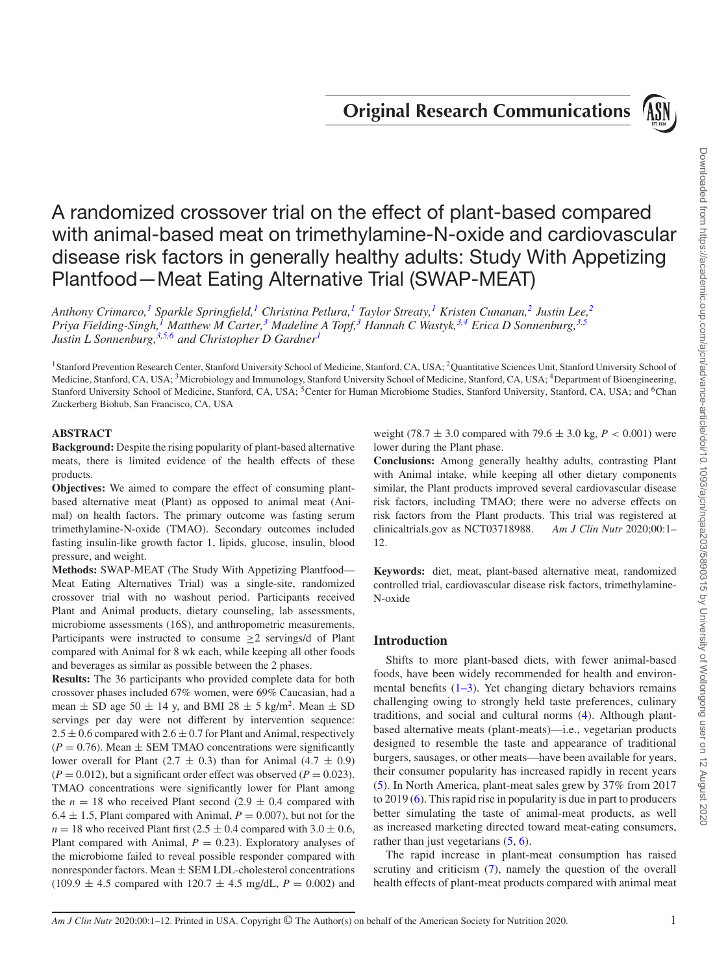# **Original Research Communications**



# A randomized crossover trial on the effect of plant-based compared with animal-based meat on trimethylamine-N-oxide and cardiovascular disease risk factors in generally healthy adults: Study With Appetizing Plantfood—Meat Eating Alternative Trial (SWAP-MEAT)

*Anthony Crimarco,[1](#page-0-0) Sparkle Springfield,[1](#page-0-0) Christina Petlura,[1](#page-0-0) Taylor Streaty,[1](#page-0-0) Kristen Cunanan,[2](#page-0-1) Justin Lee,[2](#page-0-1) Priya Fielding-Singh[,1](#page-0-0) Matthew M Carter[,3](#page-0-2) Madeline A Topf,[3](#page-0-2) Hannah C Wastyk,[3](#page-0-2)[,4](#page-0-3) Erica D Sonnenburg,[3,](#page-0-2)[5](#page-0-4) Justin L Sonnenburg,[3](#page-0-2)[,5](#page-0-4)[,6](#page-0-5) and Christopher D Gardner[1](#page-0-0)*

<span id="page-0-2"></span><span id="page-0-0"></span><sup>1</sup> Stanford Prevention Research Center, Stanford University School of Medicine, Stanford, CA, USA; <sup>2</sup>Quantitative Sciences Unit, Stanford University School of Medicine, Stanford, CA, USA; <sup>3</sup>Microbiology and Immunology, Stanford University School of Medicine, Stanford, CA, USA; <sup>4</sup>Department of Bioengineering, Stanford University School of Medicine, Stanford, CA, USA; <sup>5</sup>Center for Human Microbiome Studies, Stanford University, Stanford, CA, USA; and <sup>6</sup>Chan Zuckerberg Biohub, San Francisco, CA, USA

# **ABSTRACT**

**Background:** Despite the rising popularity of plant-based alternative meats, there is limited evidence of the health effects of these products.

**Objectives:** We aimed to compare the effect of consuming plantbased alternative meat (Plant) as opposed to animal meat (Animal) on health factors. The primary outcome was fasting serum trimethylamine-N-oxide (TMAO). Secondary outcomes included fasting insulin-like growth factor 1, lipids, glucose, insulin, blood pressure, and weight.

**Methods:** SWAP-MEAT (The Study With Appetizing Plantfood— Meat Eating Alternatives Trial) was a single-site, randomized crossover trial with no washout period. Participants received Plant and Animal products, dietary counseling, lab assessments, microbiome assessments (16S), and anthropometric measurements. Participants were instructed to consume ≥2 servings/d of Plant compared with Animal for 8 wk each, while keeping all other foods and beverages as similar as possible between the 2 phases.

**Results:** The 36 participants who provided complete data for both crossover phases included 67% women, were 69% Caucasian, had a mean  $\pm$  SD age 50  $\pm$  14 y, and BMI 28  $\pm$  5 kg/m<sup>2</sup>. Mean  $\pm$  SD servings per day were not different by intervention sequence:  $2.5 \pm 0.6$  compared with  $2.6 \pm 0.7$  for Plant and Animal, respectively  $(P = 0.76)$ . Mean  $\pm$  SEM TMAO concentrations were significantly lower overall for Plant (2.7  $\pm$  0.3) than for Animal (4.7  $\pm$  0.9)  $(P = 0.012)$ , but a significant order effect was observed  $(P = 0.023)$ . TMAO concentrations were significantly lower for Plant among the  $n = 18$  who received Plant second  $(2.9 \pm 0.4$  compared with 6.4  $\pm$  1.5, Plant compared with Animal,  $P = 0.007$ ), but not for the  $n = 18$  who received Plant first (2.5  $\pm$  0.4 compared with 3.0  $\pm$  0.6, Plant compared with Animal,  $P = 0.23$ ). Exploratory analyses of the microbiome failed to reveal possible responder compared with nonresponder factors. Mean  $\pm$  SEM LDL-cholesterol concentrations  $(109.9 \pm 4.5$  compared with  $120.7 \pm 4.5$  mg/dL,  $P = 0.002$ ) and <span id="page-0-5"></span><span id="page-0-4"></span><span id="page-0-3"></span><span id="page-0-1"></span>weight (78.7  $\pm$  3.0 compared with 79.6  $\pm$  3.0 kg, *P* < 0.001) were lower during the Plant phase.

**Conclusions:** Among generally healthy adults, contrasting Plant with Animal intake, while keeping all other dietary components similar, the Plant products improved several cardiovascular disease risk factors, including TMAO; there were no adverse effects on risk factors from the Plant products. This trial was registered at clinicaltrials.gov as NCT03718988. *Am J Clin Nutr* 2020;00:1– 12.

**Keywords:** diet, meat, plant-based alternative meat, randomized controlled trial, cardiovascular disease risk factors, trimethylamine-N-oxide

# **Introduction**

Shifts to more plant-based diets, with fewer animal-based foods, have been widely recommended for health and environmental benefits  $(1-3)$ . Yet changing dietary behaviors remains challenging owing to strongly held taste preferences, culinary traditions, and social and cultural norms [\(4\)](#page-10-1). Although plantbased alternative meats (plant-meats)—i.e., vegetarian products designed to resemble the taste and appearance of traditional burgers, sausages, or other meats—have been available for years, their consumer popularity has increased rapidly in recent years [\(5\)](#page-10-2). In North America, plant-meat sales grew by 37% from 2017 to 2019 [\(6\)](#page-10-3). This rapid rise in popularity is due in part to producers better simulating the taste of animal-meat products, as well as increased marketing directed toward meat-eating consumers, rather than just vegetarians  $(5, 6)$  $(5, 6)$  $(5, 6)$ .

The rapid increase in plant-meat consumption has raised scrutiny and criticism  $(7)$ , namely the question of the overall health effects of plant-meat products compared with animal meat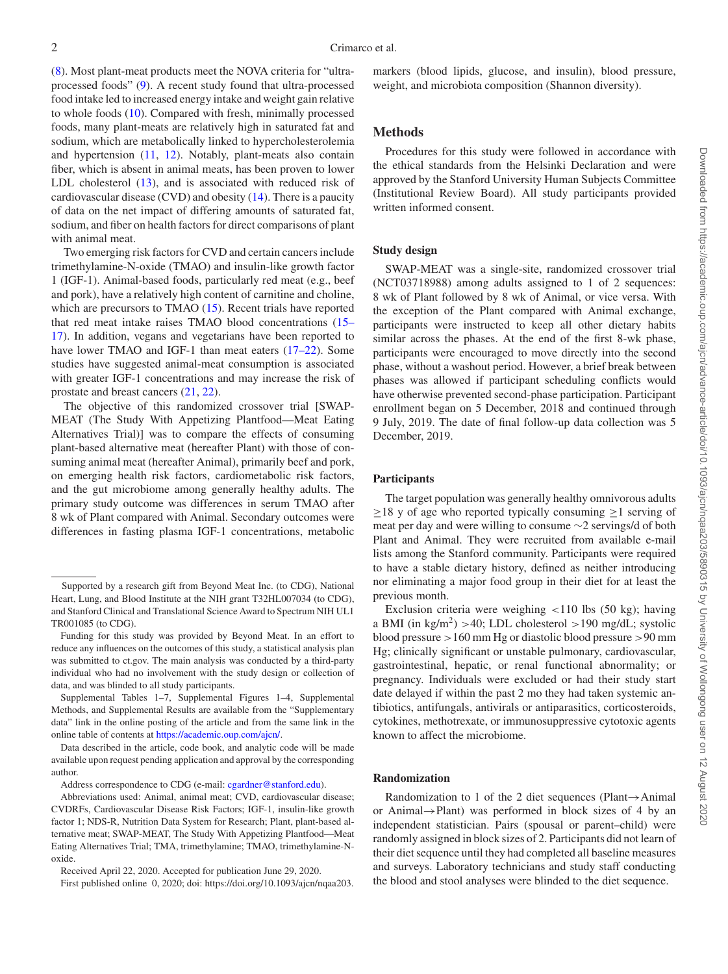[\(8\)](#page-10-5). Most plant-meat products meet the NOVA criteria for "ultraprocessed foods" [\(9\)](#page-10-6). A recent study found that ultra-processed food intake led to increased energy intake and weight gain relative to whole foods [\(10\)](#page-10-7). Compared with fresh, minimally processed foods, many plant-meats are relatively high in saturated fat and sodium, which are metabolically linked to hypercholesterolemia and hypertension [\(11,](#page-10-8) [12\)](#page-10-9). Notably, plant-meats also contain fiber, which is absent in animal meats, has been proven to lower LDL cholesterol [\(13\)](#page-10-10), and is associated with reduced risk of cardiovascular disease (CVD) and obesity [\(14\)](#page-10-11). There is a paucity of data on the net impact of differing amounts of saturated fat, sodium, and fiber on health factors for direct comparisons of plant with animal meat.

Two emerging risk factors for CVD and certain cancers include trimethylamine-N-oxide (TMAO) and insulin-like growth factor 1 (IGF-1). Animal-based foods, particularly red meat (e.g., beef and pork), have a relatively high content of carnitine and choline, which are precursors to TMAO [\(15\)](#page-10-12). Recent trials have reported that red meat intake raises TMAO blood concentrations (15– [17\). In addition, vegans and vegetarians have been reported to](#page-10-12) have lower TMAO and IGF-1 than meat eaters [\(17–22\)](#page-10-13). Some studies have suggested animal-meat consumption is associated with greater IGF-1 concentrations and may increase the risk of prostate and breast cancers [\(21,](#page-10-14) [22\)](#page-10-15).

The objective of this randomized crossover trial [SWAP-MEAT (The Study With Appetizing Plantfood—Meat Eating Alternatives Trial)] was to compare the effects of consuming plant-based alternative meat (hereafter Plant) with those of consuming animal meat (hereafter Animal), primarily beef and pork, on emerging health risk factors, cardiometabolic risk factors, and the gut microbiome among generally healthy adults. The primary study outcome was differences in serum TMAO after 8 wk of Plant compared with Animal. Secondary outcomes were differences in fasting plasma IGF-1 concentrations, metabolic markers (blood lipids, glucose, and insulin), blood pressure, weight, and microbiota composition (Shannon diversity).

## **Methods**

Procedures for this study were followed in accordance with the ethical standards from the Helsinki Declaration and were approved by the Stanford University Human Subjects Committee (Institutional Review Board). All study participants provided written informed consent.

#### **Study design**

SWAP-MEAT was a single-site, randomized crossover trial (NCT03718988) among adults assigned to 1 of 2 sequences: 8 wk of Plant followed by 8 wk of Animal, or vice versa. With the exception of the Plant compared with Animal exchange, participants were instructed to keep all other dietary habits similar across the phases. At the end of the first 8-wk phase, participants were encouraged to move directly into the second phase, without a washout period. However, a brief break between phases was allowed if participant scheduling conflicts would have otherwise prevented second-phase participation. Participant enrollment began on 5 December, 2018 and continued through 9 July, 2019. The date of final follow-up data collection was 5 December, 2019.

#### **Participants**

The target population was generally healthy omnivorous adults  $\geq$ 18 y of age who reported typically consuming  $\geq$ 1 serving of meat per day and were willing to consume ∼2 servings/d of both Plant and Animal. They were recruited from available e-mail lists among the Stanford community. Participants were required to have a stable dietary history, defined as neither introducing nor eliminating a major food group in their diet for at least the previous month.

Exclusion criteria were weighing  $\langle 110 \text{ lbs } (50 \text{ kg})$ ; having a BMI (in  $\text{kg/m}^2$ ) >40; LDL cholesterol >190 mg/dL; systolic blood pressure >160 mm Hg or diastolic blood pressure >90 mm Hg; clinically significant or unstable pulmonary, cardiovascular, gastrointestinal, hepatic, or renal functional abnormality; or pregnancy. Individuals were excluded or had their study start date delayed if within the past 2 mo they had taken systemic antibiotics, antifungals, antivirals or antiparasitics, corticosteroids, cytokines, methotrexate, or immunosuppressive cytotoxic agents known to affect the microbiome.

#### **Randomization**

Randomization to 1 of the 2 diet sequences (Plant→Animal or Animal→Plant) was performed in block sizes of 4 by an independent statistician. Pairs (spousal or parent–child) were randomly assigned in block sizes of 2. Participants did not learn of their diet sequence until they had completed all baseline measures and surveys. Laboratory technicians and study staff conducting the blood and stool analyses were blinded to the diet sequence.

Supported by a research gift from Beyond Meat Inc. (to CDG), National Heart, Lung, and Blood Institute at the NIH grant T32HL007034 (to CDG), and Stanford Clinical and Translational Science Award to Spectrum NIH UL1 TR001085 (to CDG).

Funding for this study was provided by Beyond Meat. In an effort to reduce any influences on the outcomes of this study, a statistical analysis plan was submitted to ct.gov. The main analysis was conducted by a third-party individual who had no involvement with the study design or collection of data, and was blinded to all study participants.

Supplemental Tables 1–7, Supplemental Figures 1–4, Supplemental Methods, and Supplemental Results are available from the "Supplementary data" link in the online posting of the article and from the same link in the online table of contents at [https://academic.oup.com/ajcn/.](https://academic.oup.com/ajcn/)

Data described in the article, code book, and analytic code will be made available upon request pending application and approval by the corresponding author.

Address correspondence to CDG (e-mail: [cgardner@stanford.edu\)](mailto:cgardner@stanford.edu).

Abbreviations used: Animal, animal meat; CVD, cardiovascular disease; CVDRFs, Cardiovascular Disease Risk Factors; IGF-1, insulin-like growth factor 1; NDS-R, Nutrition Data System for Research; Plant, plant-based alternative meat; SWAP-MEAT, The Study With Appetizing Plantfood—Meat Eating Alternatives Trial; TMA, trimethylamine; TMAO, trimethylamine-Noxide.

Received April 22, 2020. Accepted for publication June 29, 2020.

First published online 0, 2020; doi: https://doi.org/10.1093/ajcn/nqaa203.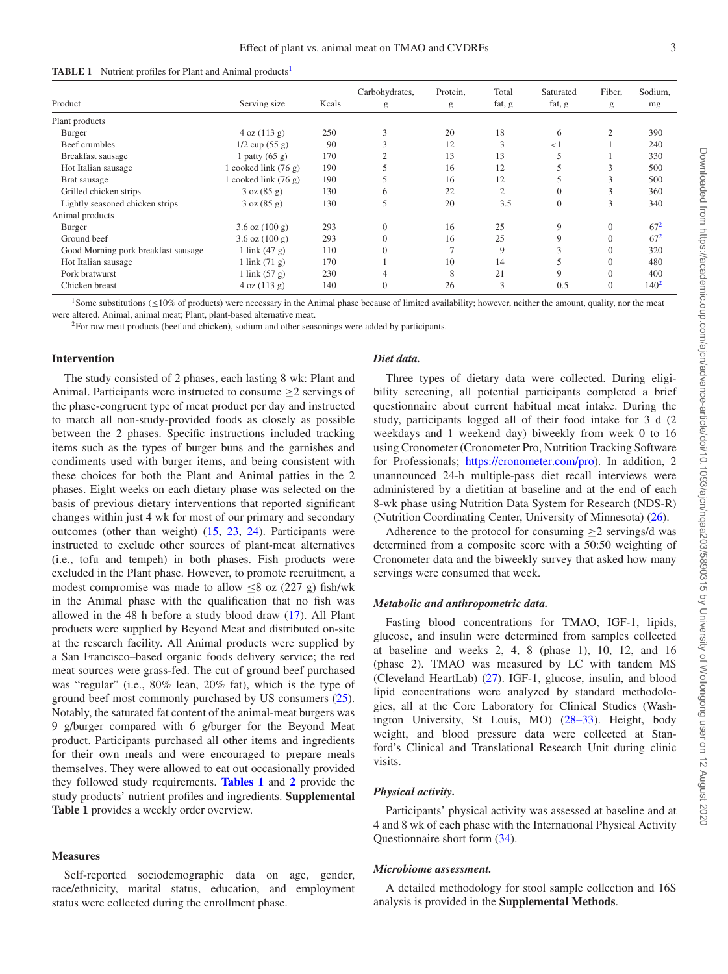<span id="page-2-2"></span>

| <b>TABLE 1</b> Nutrient profiles for Plant and Animal products <sup>1</sup> |  |  |  |  |  |  |
|-----------------------------------------------------------------------------|--|--|--|--|--|--|
|-----------------------------------------------------------------------------|--|--|--|--|--|--|

|                                     |                            |       | Carbohydrates, | Protein, | Total          | Saturated | Fiber,         | Sodium, |
|-------------------------------------|----------------------------|-------|----------------|----------|----------------|-----------|----------------|---------|
| Product                             | Serving size               | Kcals | g              | g        | fat, g         | fat, g    | g              | mg      |
| Plant products                      |                            |       |                |          |                |           |                |         |
| Burger                              | 4 oz (113 g)               | 250   | 3              | 20       | 18             | 6         | $\overline{2}$ | 390     |
| Beef crumbles                       | $1/2$ cup $(55 g)$         | 90    | 3              | 12       | 3              | $<$ 1     |                | 240     |
| Breakfast sausage                   | 1 patty $(65 g)$           | 170   | C              | 13       | 13             |           |                | 330     |
| Hot Italian sausage                 | 1 cooked link $(76 g)$     | 190   |                | 16       | 12             |           | 3              | 500     |
| Brat sausage                        | 1 cooked link $(76 g)$     | 190   |                | 16       | 12             |           | ◠<br>.1        | 500     |
| Grilled chicken strips              | 3 oz (85 g)                | 130   | 6              | 22       | $\overline{2}$ |           | 3              | 360     |
| Lightly seasoned chicken strips     | 3 oz (85 g)                | 130   | 5              | 20       | 3.5            |           | 3              | 340     |
| Animal products                     |                            |       |                |          |                |           |                |         |
| Burger                              | $3.6$ oz $(100 g)$         | 293   | $\theta$       | 16       | 25             | 9         | $\Omega$       | $67^2$  |
| Ground beef                         | $3.6$ oz $(100 \text{ g})$ | 293   |                | 16       | 25             | 9         |                | $67^2$  |
| Good Morning pork breakfast sausage | 1 link $(47 g)$            | 110   |                | 7        | 9              |           |                | 320     |
| Hot Italian sausage                 | $1$ link $(71 g)$          | 170   |                | 10       | 14             |           |                | 480     |
| Pork bratwurst                      | 1 link $(57 g)$            | 230   |                | 8        | 21             |           |                | 400     |
| Chicken breast                      | 4 oz (113 g)               | 140   | 0              | 26       | 3              | 0.5       | $\Omega$       | $140^2$ |

<span id="page-2-0"></span>1Some substitutions (≤10% of products) were necessary in the Animal phase because of limited availability; however, neither the amount, quality, nor the meat were altered. Animal, animal meat; Plant, plant-based alternative meat.

<span id="page-2-1"></span>2For raw meat products (beef and chicken), sodium and other seasonings were added by participants.

#### **Intervention**

The study consisted of 2 phases, each lasting 8 wk: Plant and Animal. Participants were instructed to consume  $\geq 2$  servings of the phase-congruent type of meat product per day and instructed to match all non-study-provided foods as closely as possible between the 2 phases. Specific instructions included tracking items such as the types of burger buns and the garnishes and condiments used with burger items, and being consistent with these choices for both the Plant and Animal patties in the 2 phases. Eight weeks on each dietary phase was selected on the basis of previous dietary interventions that reported significant changes within just 4 wk for most of our primary and secondary outcomes (other than weight) [\(15,](#page-10-12) [23,](#page-10-16) [24\)](#page-10-17). Participants were instructed to exclude other sources of plant-meat alternatives (i.e., tofu and tempeh) in both phases. Fish products were excluded in the Plant phase. However, to promote recruitment, a modest compromise was made to allow  $\leq 8$  oz (227 g) fish/wk in the Animal phase with the qualification that no fish was allowed in the 48 h before a study blood draw [\(17\)](#page-10-13). All Plant products were supplied by Beyond Meat and distributed on-site at the research facility. All Animal products were supplied by a San Francisco–based organic foods delivery service; the red meat sources were grass-fed. The cut of ground beef purchased was "regular" (i.e., 80% lean, 20% fat), which is the type of ground beef most commonly purchased by US consumers [\(25\)](#page-10-18). Notably, the saturated fat content of the animal-meat burgers was 9 g/burger compared with 6 g/burger for the Beyond Meat product. Participants purchased all other items and ingredients for their own meals and were encouraged to prepare meals themselves. They were allowed to eat out occasionally provided they followed study requirements. **[Tables 1](#page-2-2)** and **[2](#page-3-0)** provide the study products' nutrient profiles and ingredients. **Supplemental Table 1** provides a weekly order overview.

### **Measures**

Self-reported sociodemographic data on age, gender, race/ethnicity, marital status, education, and employment status were collected during the enrollment phase.

#### *Diet data.*

Three types of dietary data were collected. During eligibility screening, all potential participants completed a brief questionnaire about current habitual meat intake. During the study, participants logged all of their food intake for 3 d (2 weekdays and 1 weekend day) biweekly from week 0 to 16 using Cronometer (Cronometer Pro, Nutrition Tracking Software for Professionals; [https://cronometer.com/pro\)](https://cronometer.com/pro). In addition, 2 unannounced 24-h multiple-pass diet recall interviews were administered by a dietitian at baseline and at the end of each 8-wk phase using Nutrition Data System for Research (NDS-R) (Nutrition Coordinating Center, University of Minnesota) [\(26\)](#page-10-19).

Adherence to the protocol for consuming  $\geq 2$  servings/d was determined from a composite score with a 50:50 weighting of Cronometer data and the biweekly survey that asked how many servings were consumed that week.

#### *Metabolic and anthropometric data.*

Fasting blood concentrations for TMAO, IGF-1, lipids, glucose, and insulin were determined from samples collected at baseline and weeks 2, 4, 8 (phase 1), 10, 12, and 16 (phase 2). TMAO was measured by LC with tandem MS (Cleveland HeartLab) [\(27\)](#page-10-20). IGF-1, glucose, insulin, and blood lipid concentrations were analyzed by standard methodologies, all at the Core Laboratory for Clinical Studies (Washington University, St Louis, MO) [\(28–33\)](#page-10-21). Height, body weight, and blood pressure data were collected at Stanford's Clinical and Translational Research Unit during clinic visits.

# *Physical activity.*

Participants' physical activity was assessed at baseline and at 4 and 8 wk of each phase with the International Physical Activity Questionnaire short form [\(34\)](#page-11-0).

#### *Microbiome assessment.*

A detailed methodology for stool sample collection and 16S analysis is provided in the **Supplemental Methods**.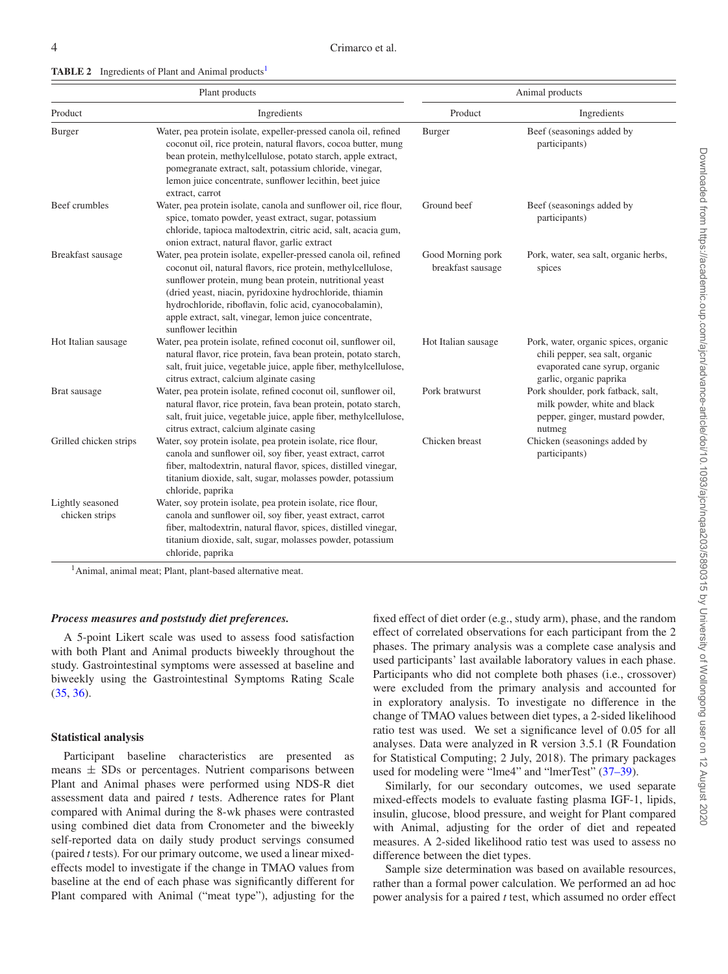| Plant products                     |                                                                                                                                                                                                                                                                                                                                                                                                   | Animal products                        |                                                                                                                                      |  |
|------------------------------------|---------------------------------------------------------------------------------------------------------------------------------------------------------------------------------------------------------------------------------------------------------------------------------------------------------------------------------------------------------------------------------------------------|----------------------------------------|--------------------------------------------------------------------------------------------------------------------------------------|--|
| Product                            | Ingredients                                                                                                                                                                                                                                                                                                                                                                                       | Product                                | Ingredients                                                                                                                          |  |
| <b>Burger</b>                      | Water, pea protein isolate, expeller-pressed canola oil, refined<br>coconut oil, rice protein, natural flavors, cocoa butter, mung<br>bean protein, methylcellulose, potato starch, apple extract,<br>pomegranate extract, salt, potassium chloride, vinegar,<br>lemon juice concentrate, sunflower lecithin, beet juice<br>extract, carrot                                                       | Burger                                 | Beef (seasonings added by<br>participants)                                                                                           |  |
| Beef crumbles                      | Water, pea protein isolate, canola and sunflower oil, rice flour,<br>spice, tomato powder, yeast extract, sugar, potassium<br>chloride, tapioca maltodextrin, citric acid, salt, acacia gum,<br>onion extract, natural flavor, garlic extract                                                                                                                                                     | Ground beef                            | Beef (seasonings added by<br>participants)                                                                                           |  |
| Breakfast sausage                  | Water, pea protein isolate, expeller-pressed canola oil, refined<br>coconut oil, natural flavors, rice protein, methylcellulose,<br>sunflower protein, mung bean protein, nutritional yeast<br>(dried yeast, niacin, pyridoxine hydrochloride, thiamin<br>hydrochloride, riboflavin, folic acid, cyanocobalamin),<br>apple extract, salt, vinegar, lemon juice concentrate,<br>sunflower lecithin | Good Morning pork<br>breakfast sausage | Pork, water, sea salt, organic herbs,<br>spices                                                                                      |  |
| Hot Italian sausage                | Water, pea protein isolate, refined coconut oil, sunflower oil,<br>natural flavor, rice protein, fava bean protein, potato starch,<br>salt, fruit juice, vegetable juice, apple fiber, methylcellulose,<br>citrus extract, calcium alginate casing                                                                                                                                                | Hot Italian sausage                    | Pork, water, organic spices, organic<br>chili pepper, sea salt, organic<br>evaporated cane syrup, organic<br>garlic, organic paprika |  |
| Brat sausage                       | Water, pea protein isolate, refined coconut oil, sunflower oil,<br>natural flavor, rice protein, fava bean protein, potato starch,<br>salt, fruit juice, vegetable juice, apple fiber, methylcellulose,<br>citrus extract, calcium alginate casing                                                                                                                                                | Pork bratwurst                         | Pork shoulder, pork fatback, salt,<br>milk powder, white and black<br>pepper, ginger, mustard powder,<br>nutmeg                      |  |
| Grilled chicken strips             | Water, soy protein isolate, pea protein isolate, rice flour,<br>canola and sunflower oil, soy fiber, yeast extract, carrot<br>fiber, maltodextrin, natural flavor, spices, distilled vinegar,<br>titanium dioxide, salt, sugar, molasses powder, potassium<br>chloride, paprika                                                                                                                   | Chicken breast                         | Chicken (seasonings added by<br>participants)                                                                                        |  |
| Lightly seasoned<br>chicken strips | Water, soy protein isolate, pea protein isolate, rice flour,<br>canola and sunflower oil, soy fiber, yeast extract, carrot<br>fiber, maltodextrin, natural flavor, spices, distilled vinegar,<br>titanium dioxide, salt, sugar, molasses powder, potassium<br>chloride, paprika                                                                                                                   |                                        |                                                                                                                                      |  |

<span id="page-3-0"></span>**TABLE 2** Ingredients of Plant and Animal products<sup>1</sup>

<sup>1</sup>Animal, animal meat; Plant, plant-based alternative meat.

## *Process measures and poststudy diet preferences.*

A 5-point Likert scale was used to assess food satisfaction with both Plant and Animal products biweekly throughout the study. Gastrointestinal symptoms were assessed at baseline and biweekly using the Gastrointestinal Symptoms Rating Scale [\(35,](#page-11-1) [36\)](#page-11-2).

## **Statistical analysis**

Participant baseline characteristics are presented as means  $\pm$  SDs or percentages. Nutrient comparisons between Plant and Animal phases were performed using NDS-R diet assessment data and paired *t* tests. Adherence rates for Plant compared with Animal during the 8-wk phases were contrasted using combined diet data from Cronometer and the biweekly self-reported data on daily study product servings consumed (paired *t* tests)*.* For our primary outcome, we used a linear mixedeffects model to investigate if the change in TMAO values from baseline at the end of each phase was significantly different for Plant compared with Animal ("meat type"), adjusting for the

fixed effect of diet order (e.g., study arm), phase, and the random effect of correlated observations for each participant from the 2 phases. The primary analysis was a complete case analysis and used participants' last available laboratory values in each phase. Participants who did not complete both phases (i.e., crossover) were excluded from the primary analysis and accounted for in exploratory analysis. To investigate no difference in the change of TMAO values between diet types, a 2-sided likelihood ratio test was used. We set a significance level of 0.05 for all analyses. Data were analyzed in R version 3.5.1 (R Foundation for Statistical Computing; 2 July, 2018). The primary packages used for modeling were "lme4" and "lmerTest" [\(37–39\)](#page-11-3).

Similarly, for our secondary outcomes, we used separate mixed-effects models to evaluate fasting plasma IGF-1, lipids, insulin, glucose, blood pressure, and weight for Plant compared with Animal, adjusting for the order of diet and repeated measures. A 2-sided likelihood ratio test was used to assess no difference between the diet types.

Sample size determination was based on available resources, rather than a formal power calculation. We performed an ad hoc power analysis for a paired *t* test, which assumed no order effect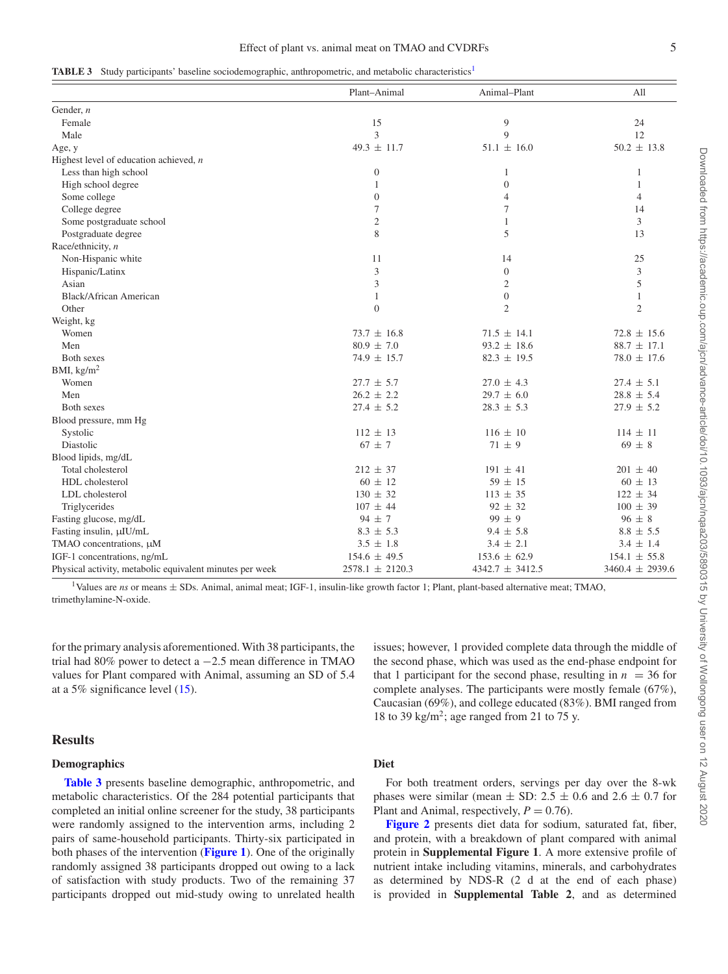<span id="page-4-1"></span>

|  |  | <b>TABLE 3</b> Study participants' baseline sociodemographic, anthropometric, and metabolic characteristics <sup>1</sup> |  |
|--|--|--------------------------------------------------------------------------------------------------------------------------|--|
|  |  |                                                                                                                          |  |

|                                                          | Plant-Animal        | Animal-Plant        | All                 |
|----------------------------------------------------------|---------------------|---------------------|---------------------|
| Gender, $n$                                              |                     |                     |                     |
| Female                                                   | 15                  | 9                   | 24                  |
| Male                                                     | 3                   | 9                   | 12                  |
| Age, y                                                   | $49.3 \pm 11.7$     | $51.1 \pm 16.0$     | $50.2 \pm 13.8$     |
| Highest level of education achieved, $n$                 |                     |                     |                     |
| Less than high school                                    | $\boldsymbol{0}$    | $\mathbf{1}$        | 1                   |
| High school degree                                       | 1                   | $\mathbf{0}$        | 1                   |
| Some college                                             | $\boldsymbol{0}$    | 4                   | $\overline{4}$      |
| College degree                                           | 7                   | 7                   | 14                  |
| Some postgraduate school                                 | $\mathfrak{2}$      | $\mathbf{1}$        | 3                   |
| Postgraduate degree                                      | 8                   | 5                   | 13                  |
| Race/ethnicity, n                                        |                     |                     |                     |
| Non-Hispanic white                                       | 11                  | 14                  | 25                  |
| Hispanic/Latinx                                          | 3                   | $\mathbf{0}$        | $\mathfrak{Z}$      |
| Asian                                                    | 3                   | $\sqrt{2}$          | 5                   |
| <b>Black/African American</b>                            | 1                   | $\boldsymbol{0}$    | $\mathbf{1}$        |
| Other                                                    | $\theta$            | $\overline{c}$      | $\mathfrak{2}$      |
| Weight, kg                                               |                     |                     |                     |
| Women                                                    | $73.7 \pm 16.8$     | $71.5 \pm 14.1$     | $72.8 \pm 15.6$     |
| Men                                                      | $80.9 \pm 7.0$      | $93.2 \pm 18.6$     | $88.7 \pm 17.1$     |
| Both sexes                                               | $74.9 \pm 15.7$     | $82.3 \pm 19.5$     | $78.0 \pm 17.6$     |
| BMI, $\text{kg/m}^2$                                     |                     |                     |                     |
| Women                                                    | $27.7 \pm 5.7$      | $27.0 \pm 4.3$      | $27.4 \pm 5.1$      |
| Men                                                      | $26.2 \pm 2.2$      | $29.7 \pm 6.0$      | $28.8 \pm 5.4$      |
| Both sexes                                               | $27.4 \pm 5.2$      | $28.3 \pm 5.3$      | $27.9 \pm 5.2$      |
| Blood pressure, mm Hg                                    |                     |                     |                     |
| Systolic                                                 | $112 \pm 13$        | $116 \pm 10$        | $114 \pm 11$        |
| Diastolic                                                | $67 \pm 7$          | $71 \pm 9$          | $69 \pm 8$          |
| Blood lipids, mg/dL                                      |                     |                     |                     |
| Total cholesterol                                        | $212 \pm 37$        | $191 \pm 41$        | $201 \pm 40$        |
| HDL cholesterol                                          | $60 \pm 12$         | $59 \pm 15$         | $60 \pm 13$         |
| LDL cholesterol                                          | $130 \pm 32$        | $113 \pm 35$        | $122 \pm 34$        |
| Triglycerides                                            | $107 \pm 44$        | $92 \pm 32$         | $100 \pm 39$        |
| Fasting glucose, mg/dL                                   | $94 \pm 7$          | $99 \pm 9$          | $96 \pm 8$          |
| Fasting insulin, µIU/mL                                  | $8.3 \pm 5.3$       | $9.4 \pm 5.8$       | $8.8 \pm 5.5$       |
| TMAO concentrations, µM                                  | $3.5 \pm 1.8$       | $3.4 \pm 2.1$       | $3.4 \pm 1.4$       |
| IGF-1 concentrations, ng/mL                              | $154.6 \pm 49.5$    | $153.6 \pm 62.9$    | $154.1 \pm 55.8$    |
| Physical activity, metabolic equivalent minutes per week | $2578.1 \pm 2120.3$ | $4342.7 \pm 3412.5$ | $3460.4 \pm 2939.6$ |

<span id="page-4-0"></span><sup>1</sup>Values are *ns* or means  $\pm$  SDs. Animal, animal meat; IGF-1, insulin-like growth factor 1; Plant, plant-based alternative meat; TMAO, trimethylamine-N-oxide.

for the primary analysis aforementioned. With 38 participants, the trial had 80% power to detect a −2.5 mean difference in TMAO values for Plant compared with Animal, assuming an SD of 5.4 at a 5% significance level [\(15\)](#page-10-12).

## **Results**

## **Demographics**

**[Table 3](#page-4-1)** presents baseline demographic, anthropometric, and metabolic characteristics. Of the 284 potential participants that completed an initial online screener for the study, 38 participants were randomly assigned to the intervention arms, including 2 pairs of same-household participants. Thirty-six participated in both phases of the intervention (**[Figure 1](#page-5-0)**). One of the originally randomly assigned 38 participants dropped out owing to a lack of satisfaction with study products. Two of the remaining 37 participants dropped out mid-study owing to unrelated health issues; however, 1 provided complete data through the middle of the second phase, which was used as the end-phase endpoint for that 1 participant for the second phase, resulting in  $n = 36$  for complete analyses. The participants were mostly female (67%), Caucasian (69%), and college educated (83%). BMI ranged from 18 to 39 kg/m<sup>2</sup>; age ranged from 21 to 75 y.

# **Diet**

For both treatment orders, servings per day over the 8-wk phases were similar (mean  $\pm$  SD: 2.5  $\pm$  0.6 and 2.6  $\pm$  0.7 for Plant and Animal, respectively,  $P = 0.76$ .

**[Figure 2](#page-6-0)** presents diet data for sodium, saturated fat, fiber, and protein, with a breakdown of plant compared with animal protein in **Supplemental Figure 1**. A more extensive profile of nutrient intake including vitamins, minerals, and carbohydrates as determined by NDS-R (2 d at the end of each phase) is provided in **Supplemental Table 2**, and as determined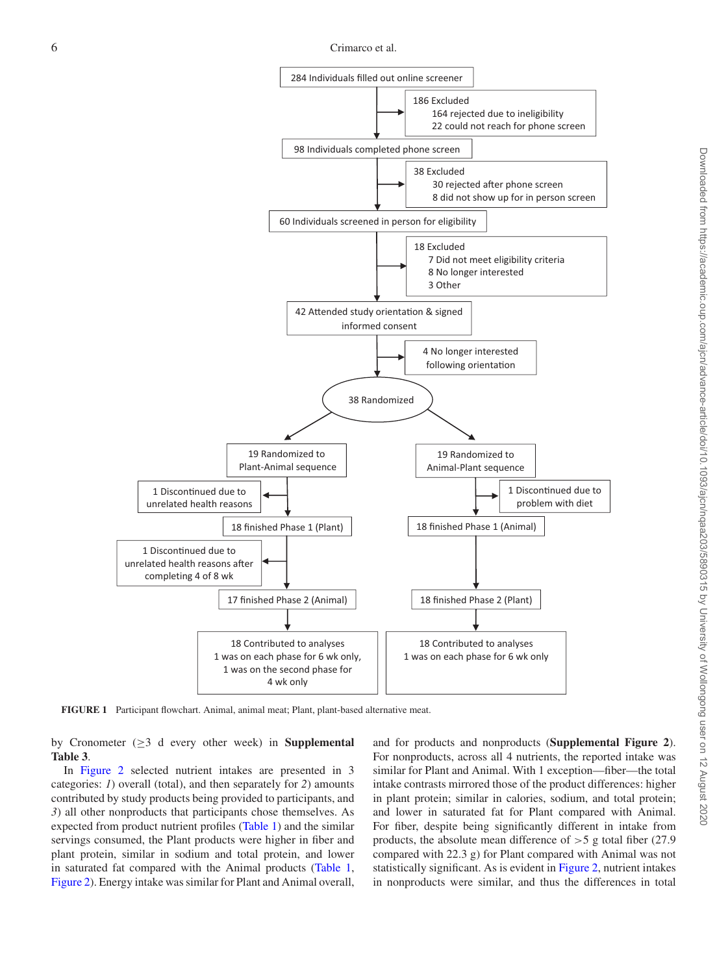<span id="page-5-0"></span>

**FIGURE 1** Participant flowchart. Animal, animal meat; Plant, plant-based alternative meat.

by Cronometer (≥3 d every other week) in **Supplemental Table 3**.

In [Figure 2](#page-6-0) selected nutrient intakes are presented in 3 categories: *1*) overall (total), and then separately for *2*) amounts contributed by study products being provided to participants, and *3*) all other nonproducts that participants chose themselves. As expected from product nutrient profiles [\(Table 1\)](#page-2-2) and the similar servings consumed, the Plant products were higher in fiber and plant protein, similar in sodium and total protein, and lower in saturated fat compared with the Animal products [\(Table 1,](#page-2-2) [Figure 2\)](#page-6-0). Energy intake was similar for Plant and Animal overall, and for products and nonproducts (**Supplemental Figure 2**). For nonproducts, across all 4 nutrients, the reported intake was similar for Plant and Animal. With 1 exception—fiber—the total intake contrasts mirrored those of the product differences: higher in plant protein; similar in calories, sodium, and total protein; and lower in saturated fat for Plant compared with Animal. For fiber, despite being significantly different in intake from products, the absolute mean difference of  $>$  5 g total fiber (27.9) compared with 22.3 g) for Plant compared with Animal was not statistically significant. As is evident in [Figure 2,](#page-6-0) nutrient intakes in nonproducts were similar, and thus the differences in total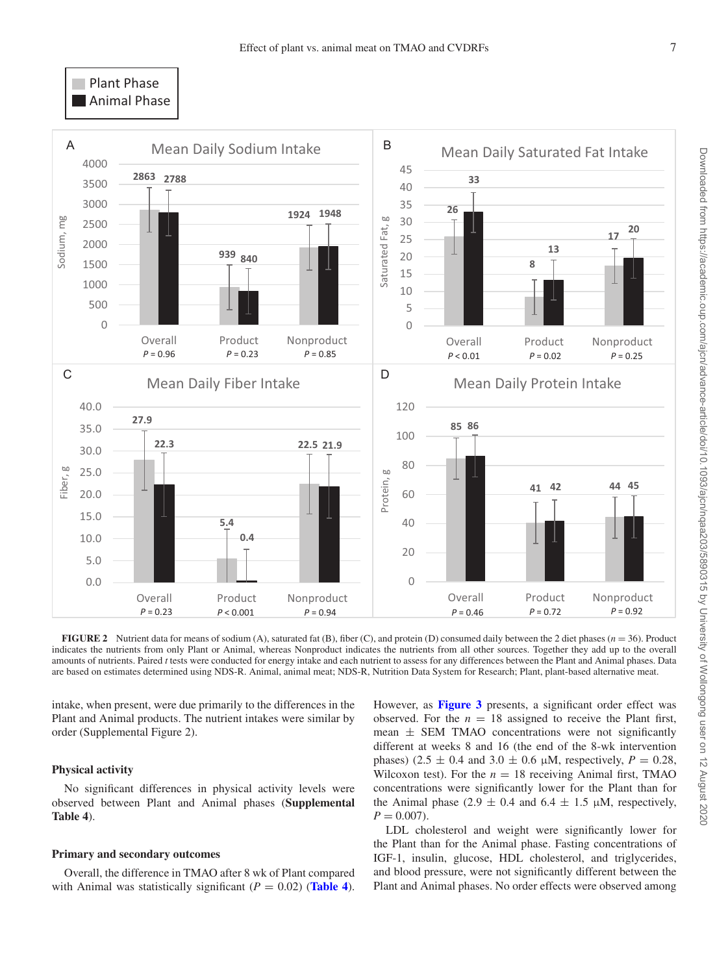# <span id="page-6-0"></span>Plant Phase **Animal Phase**



**FIGURE 2** Nutrient data for means of sodium (A), saturated fat (B), fiber (C), and protein (D) consumed daily between the 2 diet phases ( $n = 36$ ). Product indicates the nutrients from only Plant or Animal, whereas Nonproduct indicates the nutrients from all other sources. Together they add up to the overall amounts of nutrients. Paired *t* tests were conducted for energy intake and each nutrient to assess for any differences between the Plant and Animal phases. Data are based on estimates determined using NDS-R. Animal, animal meat; NDS-R, Nutrition Data System for Research; Plant, plant-based alternative meat.

intake, when present, were due primarily to the differences in the Plant and Animal products. The nutrient intakes were similar by order (Supplemental Figure 2).

# **Physical activity**

No significant differences in physical activity levels were observed between Plant and Animal phases (**Supplemental Table 4**).

## **Primary and secondary outcomes**

Overall, the difference in TMAO after 8 wk of Plant compared with Animal was statistically significant  $(P = 0.02)$  (**[Table 4](#page-7-0)**). However, as **[Figure 3](#page-8-0)** presents, a significant order effect was observed. For the  $n = 18$  assigned to receive the Plant first, mean  $\pm$  SEM TMAO concentrations were not significantly different at weeks 8 and 16 (the end of the 8-wk intervention phases) (2.5  $\pm$  0.4 and 3.0  $\pm$  0.6  $\mu$ M, respectively, *P* = 0.28, Wilcoxon test). For the  $n = 18$  receiving Animal first, TMAO concentrations were significantly lower for the Plant than for the Animal phase (2.9  $\pm$  0.4 and 6.4  $\pm$  1.5  $\mu$ M, respectively,  $P = 0.007$ .

LDL cholesterol and weight were significantly lower for the Plant than for the Animal phase. Fasting concentrations of IGF-1, insulin, glucose, HDL cholesterol, and triglycerides, and blood pressure, were not significantly different between the Plant and Animal phases. No order effects were observed among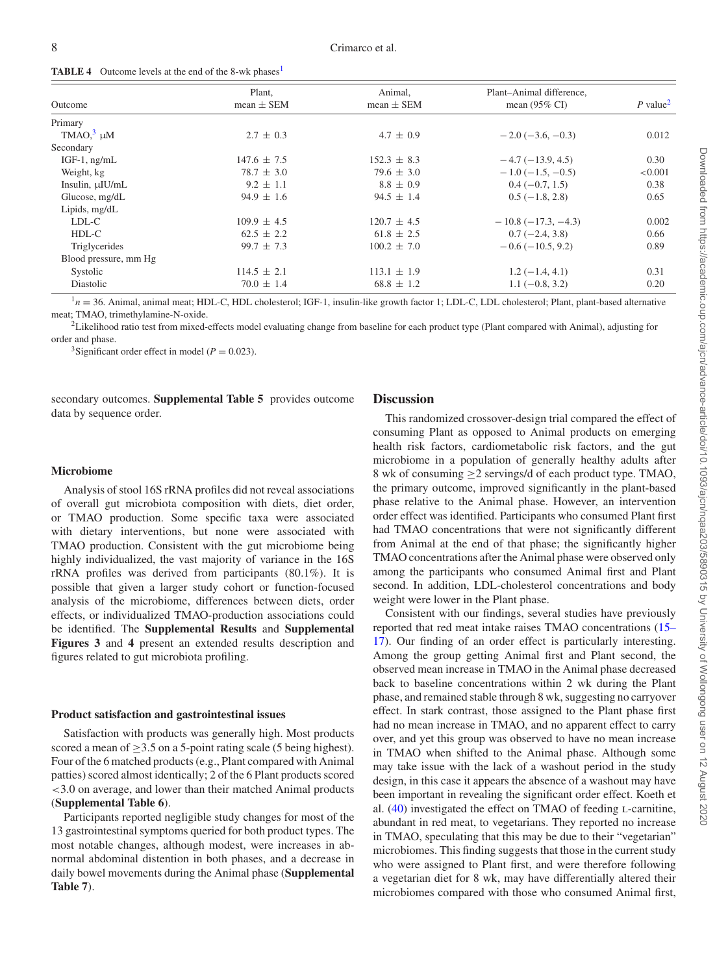<span id="page-7-0"></span>

|  |  |  |  |  | <b>TABLE 4</b> Outcome levels at the end of the 8-wk phases <sup>1</sup> |  |
|--|--|--|--|--|--------------------------------------------------------------------------|--|
|--|--|--|--|--|--------------------------------------------------------------------------|--|

|                       | Plant,          | Animal.         | Plant-Animal difference.   |                      |
|-----------------------|-----------------|-----------------|----------------------------|----------------------|
| Outcome               | $mean \pm SEM$  | $mean \pm SEM$  | mean $(95\% \text{ CI})$   | P value <sup>2</sup> |
| Primary               |                 |                 |                            |                      |
| TMAO $,3$ $\mu$ M     | $2.7 \pm 0.3$   | $4.7 \pm 0.9$   | $-2.0$ ( $-3.6$ , $-0.3$ ) | 0.012                |
| Secondary             |                 |                 |                            |                      |
| IGF-1, $ng/mL$        | $147.6 \pm 7.5$ | $152.3 \pm 8.3$ | $-4.7(-13.9, 4.5)$         | 0.30                 |
| Weight, kg            | $78.7 \pm 3.0$  | $79.6 \pm 3.0$  | $-1.0$ ( $-1.5, -0.5$ )    | < 0.001              |
| Insulin, $\mu$ IU/mL  | $9.2 \pm 1.1$   | $8.8 \pm 0.9$   | $0.4(-0.7, 1.5)$           | 0.38                 |
| Glucose, mg/dL        | $94.9 \pm 1.6$  | $94.5 \pm 1.4$  | $0.5(-1.8, 2.8)$           | 0.65                 |
| Lipids, mg/dL         |                 |                 |                            |                      |
| LDL-C                 | $109.9 \pm 4.5$ | $120.7 \pm 4.5$ | $-10.8(-17.3,-4.3)$        | 0.002                |
| HDL-C                 | $62.5 \pm 2.2$  | $61.8 \pm 2.5$  | $0.7(-2.4, 3.8)$           | 0.66                 |
| Triglycerides         | $99.7 \pm 7.3$  | $100.2 \pm 7.0$ | $-0.6(-10.5, 9.2)$         | 0.89                 |
| Blood pressure, mm Hg |                 |                 |                            |                      |
| Systolic              | $114.5 \pm 2.1$ | $113.1 \pm 1.9$ | $1.2(-1.4, 4.1)$           | 0.31                 |
| Diastolic             | $70.0 \pm 1.4$  | $68.8 \pm 1.2$  | $1.1(-0.8, 3.2)$           | 0.20                 |

<span id="page-7-1"></span> $1<sub>n</sub> = 36$ . Animal, animal meat; HDL-C, HDL cholesterol; IGF-1, insulin-like growth factor 1; LDL-C, LDL cholesterol; Plant, plant-based alternative meat; TMAO, trimethylamine-N-oxide.

<span id="page-7-2"></span><sup>2</sup>Likelihood ratio test from mixed-effects model evaluating change from baseline for each product type (Plant compared with Animal), adjusting for order and phase.

<span id="page-7-3"></span><sup>3</sup>Significant order effect in model ( $P = 0.023$ ).

secondary outcomes. **Supplemental Table 5** provides outcome data by sequence order.

## **Microbiome**

Analysis of stool 16S rRNA profiles did not reveal associations of overall gut microbiota composition with diets, diet order, or TMAO production. Some specific taxa were associated with dietary interventions, but none were associated with TMAO production. Consistent with the gut microbiome being highly individualized, the vast majority of variance in the 16S rRNA profiles was derived from participants (80.1%). It is possible that given a larger study cohort or function-focused analysis of the microbiome, differences between diets, order effects, or individualized TMAO-production associations could be identified. The **Supplemental Results** and **Supplemental Figures 3** and **4** present an extended results description and figures related to gut microbiota profiling.

## **Product satisfaction and gastrointestinal issues**

Satisfaction with products was generally high. Most products scored a mean of  $\geq$ 3.5 on a 5-point rating scale (5 being highest). Four of the 6 matched products (e.g., Plant compared with Animal patties) scored almost identically; 2 of the 6 Plant products scored <3.0 on average, and lower than their matched Animal products (**Supplemental Table 6**).

Participants reported negligible study changes for most of the 13 gastrointestinal symptoms queried for both product types. The most notable changes, although modest, were increases in abnormal abdominal distention in both phases, and a decrease in daily bowel movements during the Animal phase (**Supplemental Table 7**).

## **Discussion**

This randomized crossover-design trial compared the effect of consuming Plant as opposed to Animal products on emerging health risk factors, cardiometabolic risk factors, and the gut microbiome in a population of generally healthy adults after 8 wk of consuming  $\geq$ 2 servings/d of each product type. TMAO, the primary outcome, improved significantly in the plant-based phase relative to the Animal phase. However, an intervention order effect was identified. Participants who consumed Plant first had TMAO concentrations that were not significantly different from Animal at the end of that phase; the significantly higher TMAO concentrations after the Animal phase were observed only among the participants who consumed Animal first and Plant second. In addition, LDL-cholesterol concentrations and body weight were lower in the Plant phase.

Consistent with our findings, several studies have previously reported that red meat intake raises TMAO concentrations (15– [17\). Our finding of an order effect is particularly interesting.](#page-10-12) Among the group getting Animal first and Plant second, the observed mean increase in TMAO in the Animal phase decreased back to baseline concentrations within 2 wk during the Plant phase, and remained stable through 8 wk, suggesting no carryover effect. In stark contrast, those assigned to the Plant phase first had no mean increase in TMAO, and no apparent effect to carry over, and yet this group was observed to have no mean increase in TMAO when shifted to the Animal phase. Although some may take issue with the lack of a washout period in the study design, in this case it appears the absence of a washout may have been important in revealing the significant order effect. Koeth et al. [\(40\)](#page-11-4) investigated the effect on TMAO of feeding l-carnitine, abundant in red meat, to vegetarians. They reported no increase in TMAO, speculating that this may be due to their "vegetarian" microbiomes. This finding suggests that those in the current study who were assigned to Plant first, and were therefore following a vegetarian diet for 8 wk, may have differentially altered their microbiomes compared with those who consumed Animal first,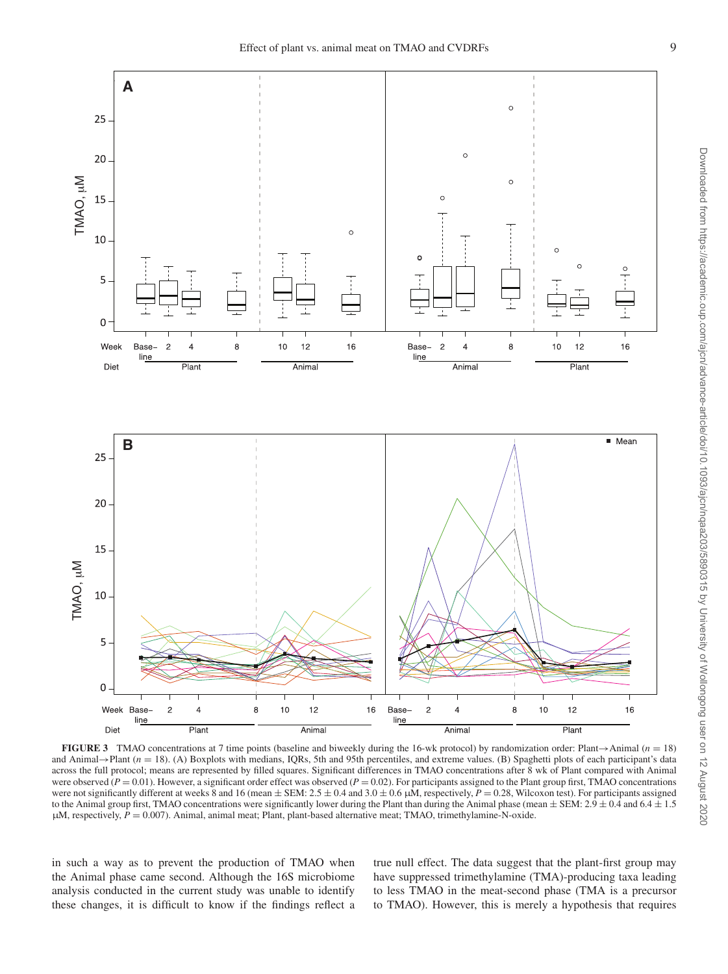<span id="page-8-0"></span>

**FIGURE 3** TMAO concentrations at 7 time points (baseline and biweekly during the 16-wk protocol) by randomization order: Plant→Animal (*n* = 18) and Animal→Plant (*n* = 18). (A) Boxplots with medians, IQRs, 5th and 95th percentiles, and extreme values. (B) Spaghetti plots of each participant's data across the full protocol; means are represented by filled squares. Significant differences in TMAO concentrations after 8 wk of Plant compared with Animal were observed  $(P = 0.01)$ . However, a significant order effect was observed  $(P = 0.02)$ . For participants assigned to the Plant group first, TMAO concentrations were not significantly different at weeks 8 and 16 (mean  $\pm$  SEM: 2.5  $\pm$  0.4 and 3.0  $\pm$  0.6  $\mu$ M, respectively,  $P = 0.28$ , Wilcoxon test). For participants assigned to the Animal group first, TMAO concentrations were significantly lower during the Plant than during the Animal phase (mean  $\pm$  SEM: 2.9  $\pm$  0.4 and 6.4  $\pm$  1.5 μM, respectively,  $P = 0.007$ ). Animal, animal meat; Plant, plant-based alternative meat; TMAO, trimethylamine-N-oxide.

in such a way as to prevent the production of TMAO when the Animal phase came second. Although the 16S microbiome analysis conducted in the current study was unable to identify these changes, it is difficult to know if the findings reflect a

true null effect. The data suggest that the plant-first group may have suppressed trimethylamine (TMA)-producing taxa leading to less TMAO in the meat-second phase (TMA is a precursor to TMAO). However, this is merely a hypothesis that requires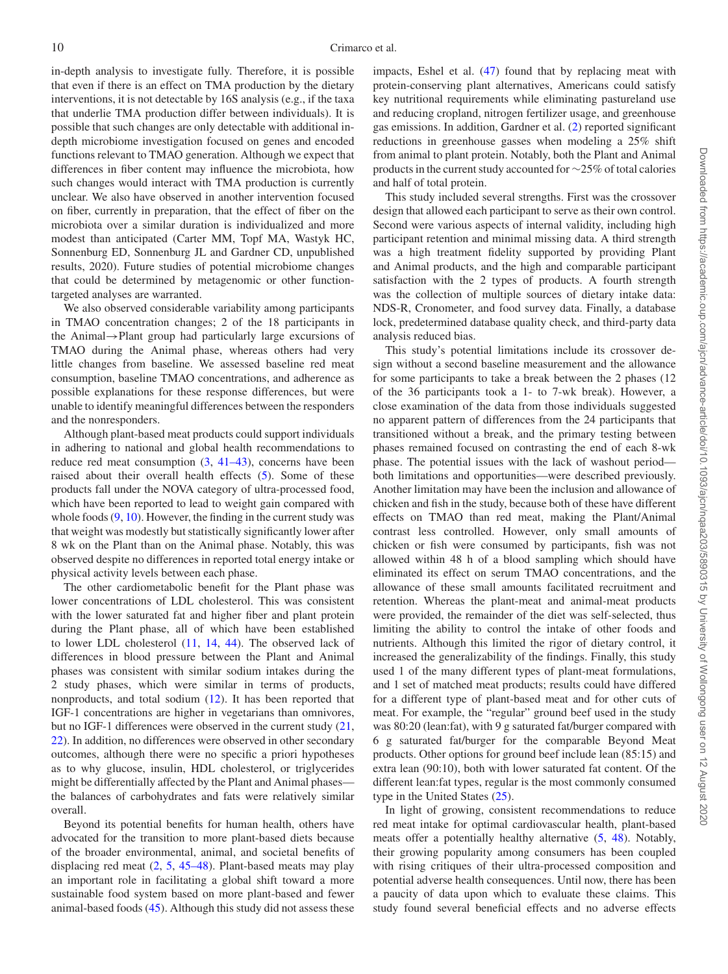in-depth analysis to investigate fully. Therefore, it is possible that even if there is an effect on TMA production by the dietary interventions, it is not detectable by 16S analysis (e.g., if the taxa that underlie TMA production differ between individuals). It is possible that such changes are only detectable with additional indepth microbiome investigation focused on genes and encoded functions relevant to TMAO generation. Although we expect that differences in fiber content may influence the microbiota, how such changes would interact with TMA production is currently unclear. We also have observed in another intervention focused on fiber, currently in preparation, that the effect of fiber on the microbiota over a similar duration is individualized and more modest than anticipated (Carter MM, Topf MA, Wastyk HC, Sonnenburg ED, Sonnenburg JL and Gardner CD, unpublished results, 2020). Future studies of potential microbiome changes that could be determined by metagenomic or other functiontargeted analyses are warranted.

We also observed considerable variability among participants in TMAO concentration changes; 2 of the 18 participants in the Animal→Plant group had particularly large excursions of TMAO during the Animal phase, whereas others had very little changes from baseline. We assessed baseline red meat consumption, baseline TMAO concentrations, and adherence as possible explanations for these response differences, but were unable to identify meaningful differences between the responders and the nonresponders.

Although plant-based meat products could support individuals in adhering to national and global health recommendations to reduce red meat consumption [\(3,](#page-10-22) [41–43\)](#page-11-5), concerns have been raised about their overall health effects [\(5\)](#page-10-2). Some of these products fall under the NOVA category of ultra-processed food, which have been reported to lead to weight gain compared with whole foods  $(9, 10)$  $(9, 10)$  $(9, 10)$ . However, the finding in the current study was that weight was modestly but statistically significantly lower after 8 wk on the Plant than on the Animal phase. Notably, this was observed despite no differences in reported total energy intake or physical activity levels between each phase.

The other cardiometabolic benefit for the Plant phase was lower concentrations of LDL cholesterol. This was consistent with the lower saturated fat and higher fiber and plant protein during the Plant phase, all of which have been established to lower LDL cholesterol [\(11,](#page-10-8) [14,](#page-10-11) [44\)](#page-11-6). The observed lack of differences in blood pressure between the Plant and Animal phases was consistent with similar sodium intakes during the 2 study phases, which were similar in terms of products, nonproducts, and total sodium [\(12\)](#page-10-9). It has been reported that IGF-1 concentrations are higher in vegetarians than omnivores, but no IGF-1 differences were observed in the current study [\(21,](#page-10-14) [22\)](#page-10-15). In addition, no differences were observed in other secondary outcomes, although there were no specific a priori hypotheses as to why glucose, insulin, HDL cholesterol, or triglycerides might be differentially affected by the Plant and Animal phases the balances of carbohydrates and fats were relatively similar overall.

Beyond its potential benefits for human health, others have advocated for the transition to more plant-based diets because of the broader environmental, animal, and societal benefits of displacing red meat  $(2, 5, 45-48)$  $(2, 5, 45-48)$  $(2, 5, 45-48)$  $(2, 5, 45-48)$ . Plant-based meats may play an important role in facilitating a global shift toward a more sustainable food system based on more plant-based and fewer animal-based foods [\(45\)](#page-11-7). Although this study did not assess these

impacts, Eshel et al. [\(47\)](#page-11-8) found that by replacing meat with protein-conserving plant alternatives, Americans could satisfy key nutritional requirements while eliminating pastureland use and reducing cropland, nitrogen fertilizer usage, and greenhouse gas emissions. In addition, Gardner et al. [\(2\)](#page-10-23) reported significant reductions in greenhouse gasses when modeling a 25% shift from animal to plant protein. Notably, both the Plant and Animal products in the current study accounted for ∼25% of total calories and half of total protein.

This study included several strengths. First was the crossover design that allowed each participant to serve as their own control. Second were various aspects of internal validity, including high participant retention and minimal missing data. A third strength was a high treatment fidelity supported by providing Plant and Animal products, and the high and comparable participant satisfaction with the 2 types of products. A fourth strength was the collection of multiple sources of dietary intake data: NDS-R, Cronometer, and food survey data. Finally, a database lock, predetermined database quality check, and third-party data analysis reduced bias.

This study's potential limitations include its crossover design without a second baseline measurement and the allowance for some participants to take a break between the 2 phases (12 of the 36 participants took a 1- to 7-wk break). However, a close examination of the data from those individuals suggested no apparent pattern of differences from the 24 participants that transitioned without a break, and the primary testing between phases remained focused on contrasting the end of each 8-wk phase. The potential issues with the lack of washout period both limitations and opportunities—were described previously. Another limitation may have been the inclusion and allowance of chicken and fish in the study, because both of these have different effects on TMAO than red meat, making the Plant/Animal contrast less controlled. However, only small amounts of chicken or fish were consumed by participants, fish was not allowed within 48 h of a blood sampling which should have eliminated its effect on serum TMAO concentrations, and the allowance of these small amounts facilitated recruitment and retention. Whereas the plant-meat and animal-meat products were provided, the remainder of the diet was self-selected, thus limiting the ability to control the intake of other foods and nutrients. Although this limited the rigor of dietary control, it increased the generalizability of the findings. Finally, this study used 1 of the many different types of plant-meat formulations, and 1 set of matched meat products; results could have differed for a different type of plant-based meat and for other cuts of meat. For example, the "regular" ground beef used in the study was 80:20 (lean:fat), with 9 g saturated fat/burger compared with 6 g saturated fat/burger for the comparable Beyond Meat products. Other options for ground beef include lean (85:15) and extra lean (90:10), both with lower saturated fat content. Of the different lean:fat types, regular is the most commonly consumed type in the United States [\(25\)](#page-10-18).

In light of growing, consistent recommendations to reduce red meat intake for optimal cardiovascular health, plant-based meats offer a potentially healthy alternative [\(5,](#page-10-2) [48\)](#page-11-9). Notably, their growing popularity among consumers has been coupled with rising critiques of their ultra-processed composition and potential adverse health consequences. Until now, there has been a paucity of data upon which to evaluate these claims. This study found several beneficial effects and no adverse effects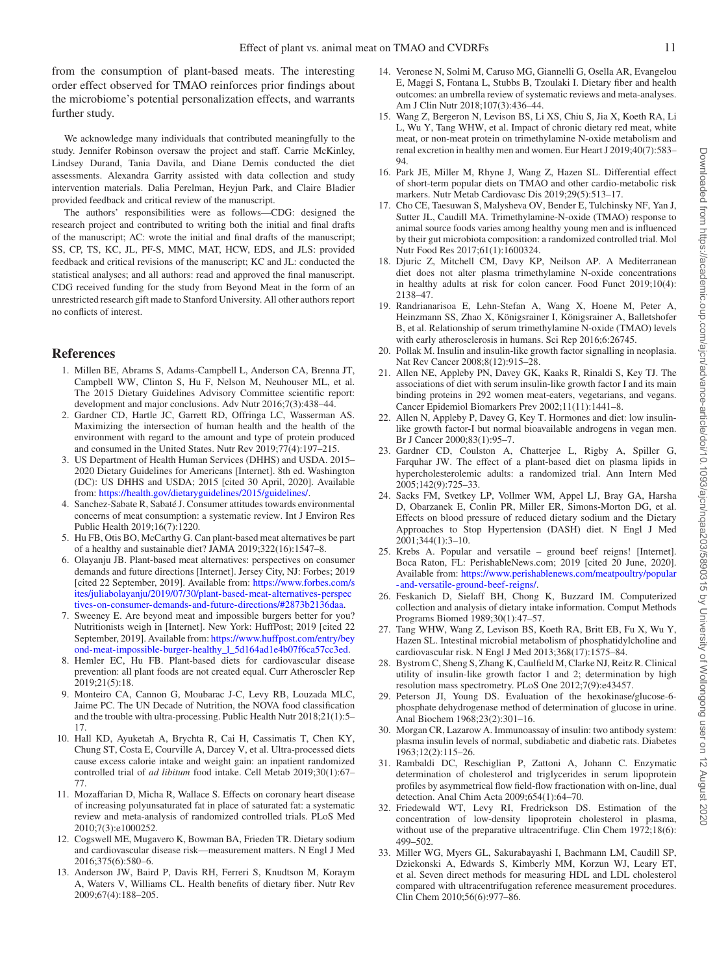from the consumption of plant-based meats. The interesting order effect observed for TMAO reinforces prior findings about the microbiome's potential personalization effects, and warrants further study.

We acknowledge many individuals that contributed meaningfully to the study. Jennifer Robinson oversaw the project and staff. Carrie McKinley, Lindsey Durand, Tania Davila, and Diane Demis conducted the diet assessments. Alexandra Garrity assisted with data collection and study intervention materials. Dalia Perelman, Heyjun Park, and Claire Bladier provided feedback and critical review of the manuscript.

The authors' responsibilities were as follows—CDG: designed the research project and contributed to writing both the initial and final drafts of the manuscript; AC: wrote the initial and final drafts of the manuscript; SS, CP, TS, KC, JL, PF-S, MMC, MAT, HCW, EDS, and JLS: provided feedback and critical revisions of the manuscript; KC and JL: conducted the statistical analyses; and all authors: read and approved the final manuscript. CDG received funding for the study from Beyond Meat in the form of an unrestricted research gift made to Stanford University. All other authors report no conflicts of interest.

## **References**

- <span id="page-10-0"></span>1. Millen BE, Abrams S, Adams-Campbell L, Anderson CA, Brenna JT, Campbell WW, Clinton S, Hu F, Nelson M, Neuhouser ML, et al. The 2015 Dietary Guidelines Advisory Committee scientific report: development and major conclusions. Adv Nutr 2016;7(3):438–44.
- <span id="page-10-23"></span>2. Gardner CD, Hartle JC, Garrett RD, Offringa LC, Wasserman AS. Maximizing the intersection of human health and the health of the environment with regard to the amount and type of protein produced and consumed in the United States. Nutr Rev  $2019:77(4):197-215$ .
- <span id="page-10-22"></span>3. US Department of Health Human Services (DHHS) and USDA. 2015– 2020 Dietary Guidelines for Americans [Internet]. 8th ed. Washington (DC): US DHHS and USDA; 2015 [cited 30 April, 2020]. Available from: [https://health.gov/dietaryguidelines/2015/guidelines/.](https://health.gov/dietaryguidelines/2015/guidelines/)
- <span id="page-10-1"></span>4. Sanchez-Sabate R, Sabaté J. Consumer attitudes towards environmental concerns of meat consumption: a systematic review. Int J Environ Res Public Health 2019;16(7):1220.
- <span id="page-10-2"></span>5. Hu FB, Otis BO, McCarthy G. Can plant-based meat alternatives be part of a healthy and sustainable diet? JAMA 2019;322(16):1547–8.
- <span id="page-10-3"></span>6. Olayanju JB. Plant-based meat alternatives: perspectives on consumer demands and future directions [Internet]. Jersey City, NJ: Forbes; 2019 [cited 22 September, 2019]. Available from: https://www.forbes.com/s [ites/juliabolayanju/2019/07/30/plant-based-meat-alternatives-perspec](https://www.forbes.com/sites/juliabolayanju/2019/07/30/plant-based-meat-alternatives-perspectives-on-consumer-demands-and-future-directions/#2873b2136daa) tives-on-consumer-demands-and-future-directions/#2873b2136daa.
- <span id="page-10-4"></span>Sweeney E. Are beyond meat and impossible burgers better for you? Nutritionists weigh in [Internet]. New York: HuffPost; 2019 [cited 22 September, 2019]. Available from: https://www.huffpost.com/entry/bey [ond-meat-impossible-burger-healthy\\_l\\_5d164ad1e4b07f6ca57cc3ed.](https://www.huffpost.com/entry/beyond-meat-impossible-burger-healthy_l_5d164ad1e4b07f6ca57cc3ed)
- <span id="page-10-5"></span>8. Hemler EC, Hu FB. Plant-based diets for cardiovascular disease prevention: all plant foods are not created equal. Curr Atheroscler Rep 2019;21(5):18.
- <span id="page-10-6"></span>9. Monteiro CA, Cannon G, Moubarac J-C, Levy RB, Louzada MLC, Jaime PC. The UN Decade of Nutrition, the NOVA food classification and the trouble with ultra-processing. Public Health Nutr 2018;21(1):5– 17.
- <span id="page-10-7"></span>10. Hall KD, Ayuketah A, Brychta R, Cai H, Cassimatis T, Chen KY, Chung ST, Costa E, Courville A, Darcey V, et al. Ultra-processed diets cause excess calorie intake and weight gain: an inpatient randomized controlled trial of *ad libitum* food intake. Cell Metab 2019;30(1):67– 77.
- <span id="page-10-8"></span>11. Mozaffarian D, Micha R, Wallace S. Effects on coronary heart disease of increasing polyunsaturated fat in place of saturated fat: a systematic review and meta-analysis of randomized controlled trials. PLoS Med 2010;7(3):e1000252.
- <span id="page-10-9"></span>12. Cogswell ME, Mugavero K, Bowman BA, Frieden TR. Dietary sodium and cardiovascular disease risk—measurement matters. N Engl J Med 2016;375(6):580–6.
- <span id="page-10-10"></span>13. Anderson JW, Baird P, Davis RH, Ferreri S, Knudtson M, Koraym A, Waters V, Williams CL. Health benefits of dietary fiber. Nutr Rev 2009;67(4):188–205.
- <span id="page-10-11"></span>14. Veronese N, Solmi M, Caruso MG, Giannelli G, Osella AR, Evangelou E, Maggi S, Fontana L, Stubbs B, Tzoulaki I. Dietary fiber and health outcomes: an umbrella review of systematic reviews and meta-analyses. Am J Clin Nutr 2018;107(3):436–44.
- <span id="page-10-12"></span>15. Wang Z, Bergeron N, Levison BS, Li XS, Chiu S, Jia X, Koeth RA, Li L, Wu Y, Tang WHW, et al. Impact of chronic dietary red meat, white meat, or non-meat protein on trimethylamine N-oxide metabolism and renal excretion in healthy men and women. Eur Heart J 2019;40(7):583– 94.
- 16. Park JE, Miller M, Rhyne J, Wang Z, Hazen SL. Differential effect of short-term popular diets on TMAO and other cardio-metabolic risk markers. Nutr Metab Cardiovasc Dis 2019;29(5):513–17.
- <span id="page-10-13"></span>17. Cho CE, Taesuwan S, Malysheva OV, Bender E, Tulchinsky NF, Yan J, Sutter JL, Caudill MA. Trimethylamine-N-oxide (TMAO) response to animal source foods varies among healthy young men and is influenced by their gut microbiota composition: a randomized controlled trial. Mol Nutr Food Res 2017;61(1):1600324.
- 18. Djuric Z, Mitchell CM, Davy KP, Neilson AP. A Mediterranean diet does not alter plasma trimethylamine N-oxide concentrations in healthy adults at risk for colon cancer. Food Funct 2019;10(4): 2138–47.
- 19. Randrianarisoa E, Lehn-Stefan A, Wang X, Hoene M, Peter A, Heinzmann SS, Zhao X, Königsrainer I, Königsrainer A, Balletshofer B, et al. Relationship of serum trimethylamine N-oxide (TMAO) levels with early atherosclerosis in humans. Sci Rep 2016;6:26745.
- 20. Pollak M. Insulin and insulin-like growth factor signalling in neoplasia. Nat Rev Cancer 2008;8(12):915–28.
- <span id="page-10-14"></span>21. Allen NE, Appleby PN, Davey GK, Kaaks R, Rinaldi S, Key TJ. The associations of diet with serum insulin-like growth factor I and its main binding proteins in 292 women meat-eaters, vegetarians, and vegans. Cancer Epidemiol Biomarkers Prev 2002;11(11):1441–8.
- <span id="page-10-15"></span>22. Allen N, Appleby P, Davey G, Key T. Hormones and diet: low insulinlike growth factor-I but normal bioavailable androgens in vegan men. Br J Cancer 2000;83(1):95–7.
- <span id="page-10-16"></span>23. Gardner CD, Coulston A, Chatterjee L, Rigby A, Spiller G, Farquhar JW. The effect of a plant-based diet on plasma lipids in hypercholesterolemic adults: a randomized trial. Ann Intern Med 2005;142(9):725–33.
- <span id="page-10-17"></span>24. Sacks FM, Svetkey LP, Vollmer WM, Appel LJ, Bray GA, Harsha D, Obarzanek E, Conlin PR, Miller ER, Simons-Morton DG, et al. Effects on blood pressure of reduced dietary sodium and the Dietary Approaches to Stop Hypertension (DASH) diet. N Engl J Med 2001;344(1):3–10.
- <span id="page-10-18"></span>25. Krebs A. Popular and versatile – ground beef reigns! [Internet]. Boca Raton, FL: PerishableNews.com; 2019 [cited 20 June, 2020]. Available from: [https://www.perishablenews.com/meatpoultry/popular](https://www.perishablenews.com/meatpoultry/popular-and-versatile-ground-beef-reigns/) -and-versatile-ground-beef-reigns/.
- <span id="page-10-19"></span>26. Feskanich D, Sielaff BH, Chong K, Buzzard IM. Computerized collection and analysis of dietary intake information. Comput Methods Programs Biomed 1989;30(1):47–57.
- <span id="page-10-20"></span>27. Tang WHW, Wang Z, Levison BS, Koeth RA, Britt EB, Fu X, Wu Y, Hazen SL. Intestinal microbial metabolism of phosphatidylcholine and cardiovascular risk. N Engl J Med 2013;368(17):1575–84.
- <span id="page-10-21"></span>28. Bystrom C, Sheng S, Zhang K, Caulfield M, Clarke NJ, Reitz R. Clinical utility of insulin-like growth factor 1 and 2; determination by high resolution mass spectrometry. PLoS One 2012;7(9):e43457.
- 29. Peterson JI, Young DS. Evaluation of the hexokinase/glucose-6 phosphate dehydrogenase method of determination of glucose in urine. Anal Biochem 1968;23(2):301–16.
- 30. Morgan CR, Lazarow A. Immunoassay of insulin: two antibody system: plasma insulin levels of normal, subdiabetic and diabetic rats. Diabetes 1963;12(2):115–26.
- 31. Rambaldi DC, Reschiglian P, Zattoni A, Johann C. Enzymatic determination of cholesterol and triglycerides in serum lipoprotein profiles by asymmetrical flow field-flow fractionation with on-line, dual detection. Anal Chim Acta 2009;654(1):64–70.
- 32. Friedewald WT, Levy RI, Fredrickson DS. Estimation of the concentration of low-density lipoprotein cholesterol in plasma, without use of the preparative ultracentrifuge. Clin Chem 1972;18(6): 499–502.
- 33. Miller WG, Myers GL, Sakurabayashi I, Bachmann LM, Caudill SP, Dziekonski A, Edwards S, Kimberly MM, Korzun WJ, Leary ET, et al. Seven direct methods for measuring HDL and LDL cholesterol compared with ultracentrifugation reference measurement procedures. Clin Chem 2010;56(6):977–86.